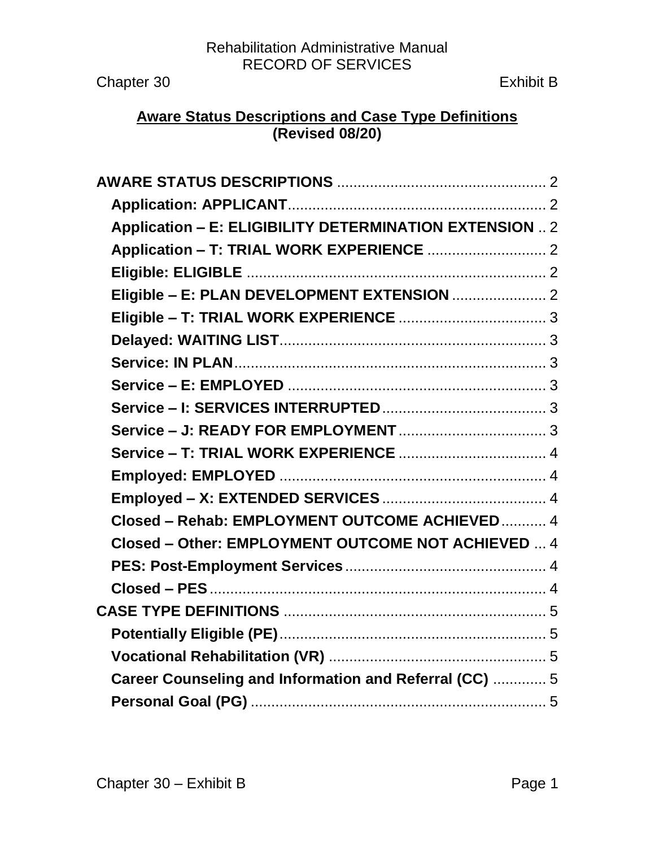Rehabilitation Administrative Manual RECORD OF SERVICES

Chapter 30 Exhibit B

## **Aware Status Descriptions and Case Type Definitions (Revised 08/20)**

| Application - E: ELIGIBILITY DETERMINATION EXTENSION  2 |  |
|---------------------------------------------------------|--|
|                                                         |  |
|                                                         |  |
|                                                         |  |
|                                                         |  |
|                                                         |  |
|                                                         |  |
|                                                         |  |
|                                                         |  |
|                                                         |  |
|                                                         |  |
|                                                         |  |
|                                                         |  |
| Closed - Rehab: EMPLOYMENT OUTCOME ACHIEVED 4           |  |
| Closed - Other: EMPLOYMENT OUTCOME NOT ACHIEVED  4      |  |
|                                                         |  |
|                                                         |  |
|                                                         |  |
|                                                         |  |
|                                                         |  |
| Career Counseling and Information and Referral (CC)  5  |  |
|                                                         |  |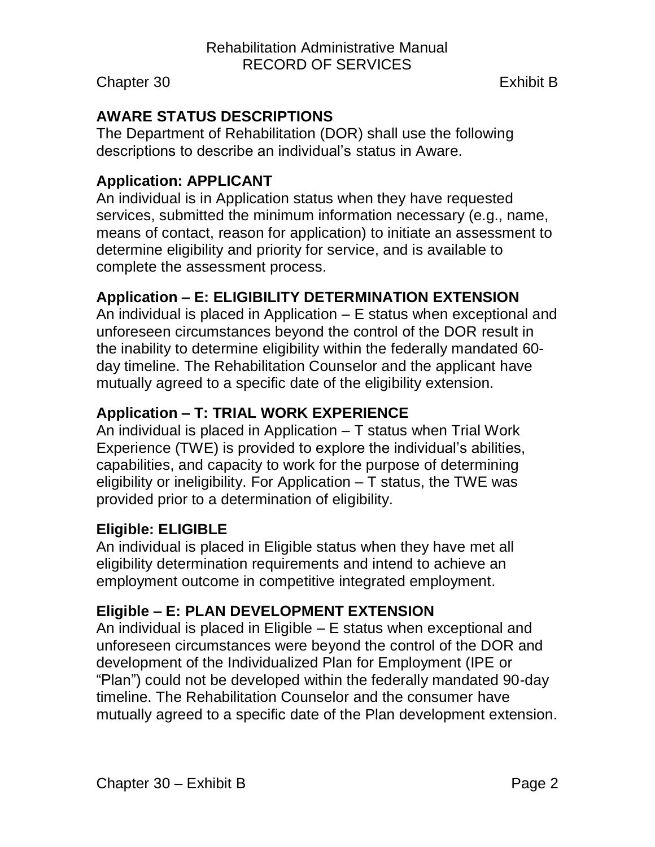# <span id="page-1-0"></span>**AWARE STATUS DESCRIPTIONS**

The Department of Rehabilitation (DOR) shall use the following descriptions to describe an individual's status in Aware.

## <span id="page-1-1"></span>**Application: APPLICANT**

An individual is in Application status when they have requested services, submitted the minimum information necessary (e.g., name, means of contact, reason for application) to initiate an assessment to determine eligibility and priority for service, and is available to complete the assessment process.

## <span id="page-1-2"></span>**Application – E: ELIGIBILITY DETERMINATION EXTENSION**

An individual is placed in Application – E status when exceptional and unforeseen circumstances beyond the control of the DOR result in the inability to determine eligibility within the federally mandated 60 day timeline. The Rehabilitation Counselor and the applicant have mutually agreed to a specific date of the eligibility extension.

## <span id="page-1-3"></span>**Application – T: TRIAL WORK EXPERIENCE**

An individual is placed in Application – T status when Trial Work Experience (TWE) is provided to explore the individual's abilities, capabilities, and capacity to work for the purpose of determining eligibility or ineligibility. For Application  $-$  T status, the TWE was provided prior to a determination of eligibility.

### <span id="page-1-4"></span>**Eligible: ELIGIBLE**

An individual is placed in Eligible status when they have met all eligibility determination requirements and intend to achieve an employment outcome in competitive integrated employment.

### <span id="page-1-5"></span>**Eligible – E: PLAN DEVELOPMENT EXTENSION**

An individual is placed in Eligible – E status when exceptional and unforeseen circumstances were beyond the control of the DOR and development of the Individualized Plan for Employment (IPE or "Plan") could not be developed within the federally mandated 90-day timeline. The Rehabilitation Counselor and the consumer have mutually agreed to a specific date of the Plan development extension.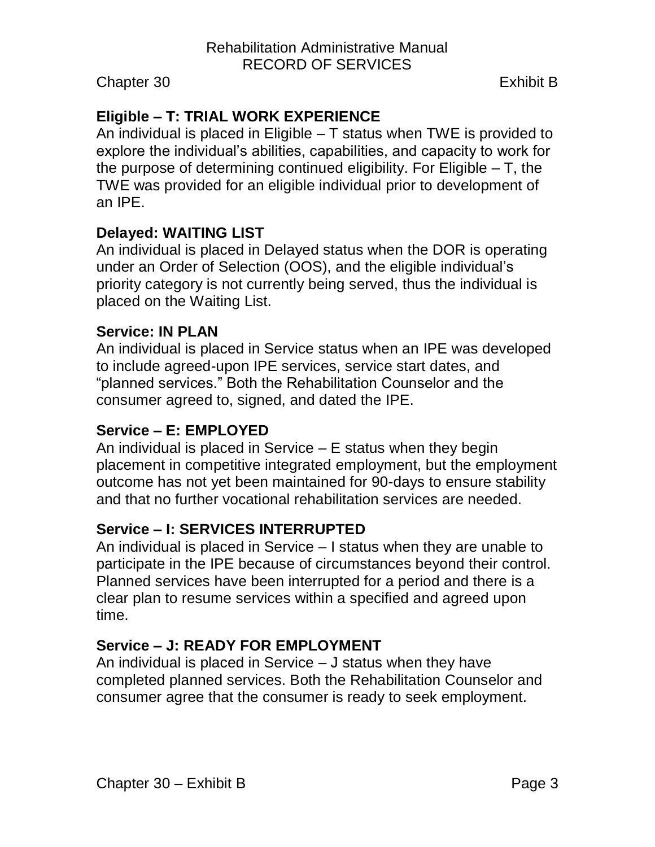# <span id="page-2-0"></span>**Eligible – T: TRIAL WORK EXPERIENCE**

An individual is placed in Eligible – T status when TWE is provided to explore the individual's abilities, capabilities, and capacity to work for the purpose of determining continued eligibility. For Eligible – T, the TWE was provided for an eligible individual prior to development of an IPE.

#### <span id="page-2-1"></span>**Delayed: WAITING LIST**

An individual is placed in Delayed status when the DOR is operating under an Order of Selection (OOS), and the eligible individual's priority category is not currently being served, thus the individual is placed on the Waiting List.

#### <span id="page-2-2"></span>**Service: IN PLAN**

An individual is placed in Service status when an IPE was developed to include agreed-upon IPE services, service start dates, and "planned services." Both the Rehabilitation Counselor and the consumer agreed to, signed, and dated the IPE.

## <span id="page-2-3"></span>**Service – E: EMPLOYED**

An individual is placed in Service – E status when they begin placement in competitive integrated employment, but the employment outcome has not yet been maintained for 90-days to ensure stability and that no further vocational rehabilitation services are needed.

### <span id="page-2-4"></span>**Service – I: SERVICES INTERRUPTED**

An individual is placed in Service – I status when they are unable to participate in the IPE because of circumstances beyond their control. Planned services have been interrupted for a period and there is a clear plan to resume services within a specified and agreed upon time.

### <span id="page-2-5"></span>**Service – J: READY FOR EMPLOYMENT**

An individual is placed in Service – J status when they have completed planned services. Both the Rehabilitation Counselor and consumer agree that the consumer is ready to seek employment.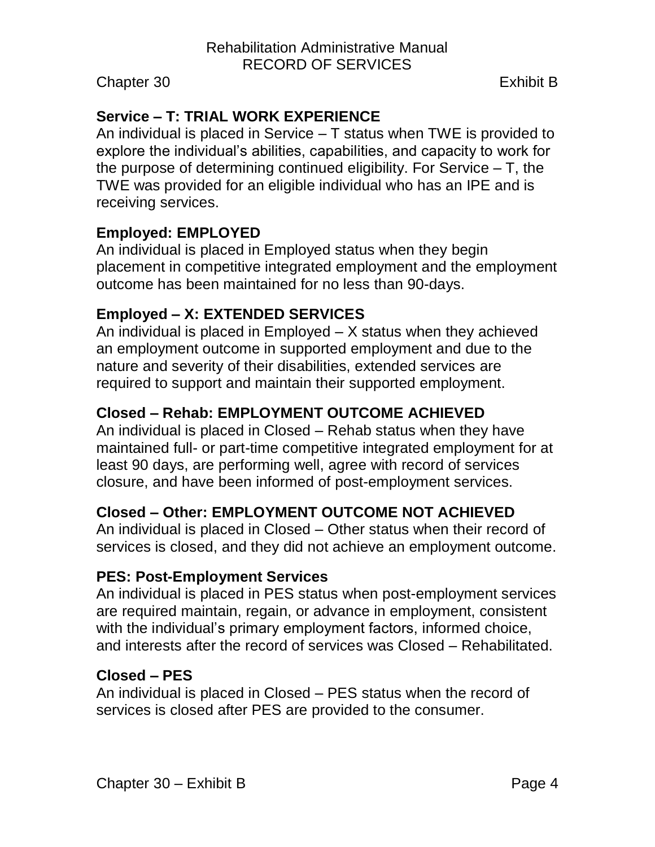## <span id="page-3-0"></span>**Service – T: TRIAL WORK EXPERIENCE**

An individual is placed in Service – T status when TWE is provided to explore the individual's abilities, capabilities, and capacity to work for the purpose of determining continued eligibility. For Service – T, the TWE was provided for an eligible individual who has an IPE and is receiving services.

#### <span id="page-3-1"></span>**Employed: EMPLOYED**

An individual is placed in Employed status when they begin placement in competitive integrated employment and the employment outcome has been maintained for no less than 90-days.

#### <span id="page-3-2"></span>**Employed – X: EXTENDED SERVICES**

An individual is placed in Employed – X status when they achieved an employment outcome in supported employment and due to the nature and severity of their disabilities, extended services are required to support and maintain their supported employment.

### <span id="page-3-3"></span>**Closed – Rehab: EMPLOYMENT OUTCOME ACHIEVED**

An individual is placed in Closed – Rehab status when they have maintained full- or part-time competitive integrated employment for at least 90 days, are performing well, agree with record of services closure, and have been informed of post-employment services.

### <span id="page-3-4"></span>**Closed – Other: EMPLOYMENT OUTCOME NOT ACHIEVED**

An individual is placed in Closed – Other status when their record of services is closed, and they did not achieve an employment outcome.

#### <span id="page-3-5"></span>**PES: Post-Employment Services**

An individual is placed in PES status when post-employment services are required maintain, regain, or advance in employment, consistent with the individual's primary employment factors, informed choice, and interests after the record of services was Closed – Rehabilitated.

#### <span id="page-3-6"></span>**Closed – PES**

An individual is placed in Closed – PES status when the record of services is closed after PES are provided to the consumer.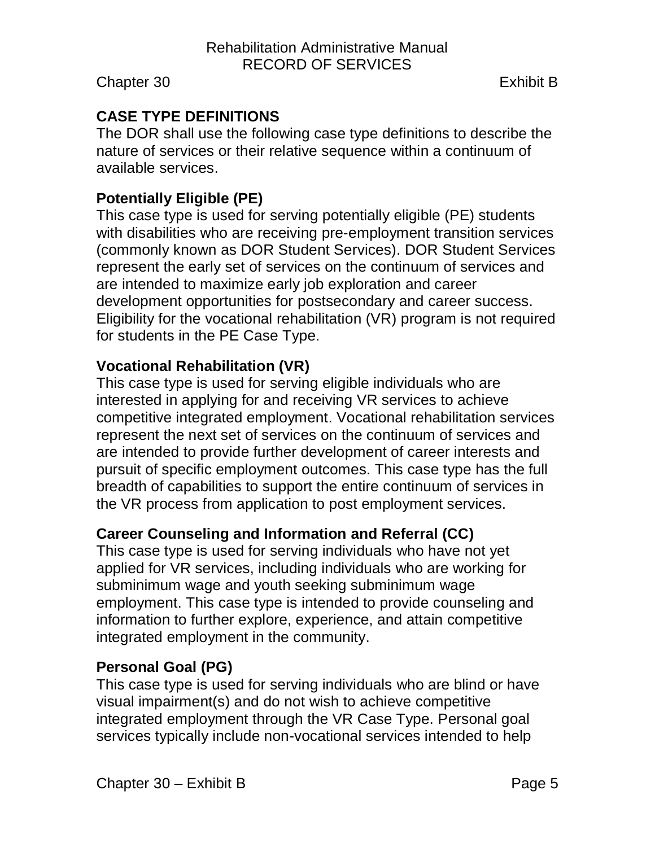## <span id="page-4-0"></span>**CASE TYPE DEFINITIONS**

The DOR shall use the following case type definitions to describe the nature of services or their relative sequence within a continuum of available services.

## <span id="page-4-1"></span>**Potentially Eligible (PE)**

This case type is used for serving potentially eligible (PE) students with disabilities who are receiving pre-employment transition services (commonly known as DOR Student Services). DOR Student Services represent the early set of services on the continuum of services and are intended to maximize early job exploration and career development opportunities for postsecondary and career success. Eligibility for the vocational rehabilitation (VR) program is not required for students in the PE Case Type.

## <span id="page-4-2"></span>**Vocational Rehabilitation (VR)**

This case type is used for serving eligible individuals who are interested in applying for and receiving VR services to achieve competitive integrated employment. Vocational rehabilitation services represent the next set of services on the continuum of services and are intended to provide further development of career interests and pursuit of specific employment outcomes. This case type has the full breadth of capabilities to support the entire continuum of services in the VR process from application to post employment services.

## <span id="page-4-3"></span>**Career Counseling and Information and Referral (CC)**

This case type is used for serving individuals who have not yet applied for VR services, including individuals who are working for subminimum wage and youth seeking subminimum wage employment. This case type is intended to provide counseling and information to further explore, experience, and attain competitive integrated employment in the community.

### <span id="page-4-4"></span>**Personal Goal (PG)**

This case type is used for serving individuals who are blind or have visual impairment(s) and do not wish to achieve competitive integrated employment through the VR Case Type. Personal goal services typically include non-vocational services intended to help